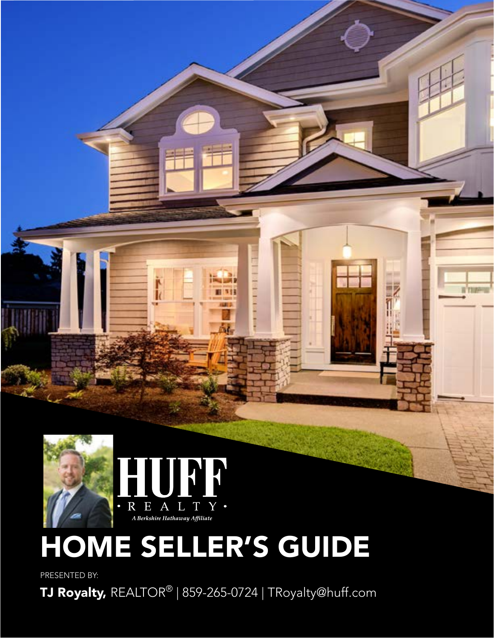

# HOME SELLER'S GUIDE

ш

PRESENTED BY:

TJ Royalty, REALTOR® | 859-265-0724 | TRoyalty@huff.com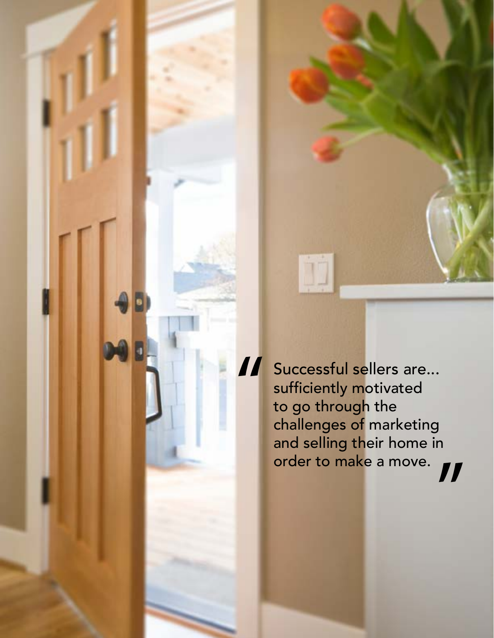Successful sellers are... sufficiently motivated to go through the challenges of marketing and selling their home in order to make a move. " "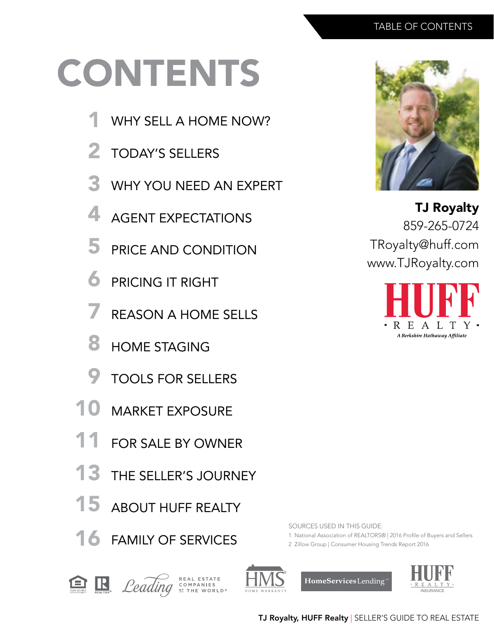# CONTENTS

- WHY SELL A HOME NOW? 1
- TODAY'S SELLERS 2
- WHY YOU NEED AN EXPERT 3
- AGENT EXPECTATIONS 4
- PRICE AND CONDITION 5
- PRICING IT RIGHT 6
- REASON A HOME SELLS 7
- HOME STAGING 8
- TOOLS FOR SELLERS 9
- MARKET EXPOSURE 10
- FOR SALE BY OWNER 11
- THE SELLER'S JOURNEY 13
- ABOUT HUFF REALTY 15
- 16 FAMILY OF SERVICES



TJ Royalty 859-265-0724 TRoyalty@huff.com www.TJRoyalty.com



SOURCES USED IN THIS GUIDE:

- 1 National Association of REALTORS® | 2016 Profile of Buyers and Sellers
- 2 Zillow Group | Consumer Housing Trends Report 2016





COMPANIES<br>
<u>OF</u> THE WORLD<sup>®</sup>



HomeServices Lending

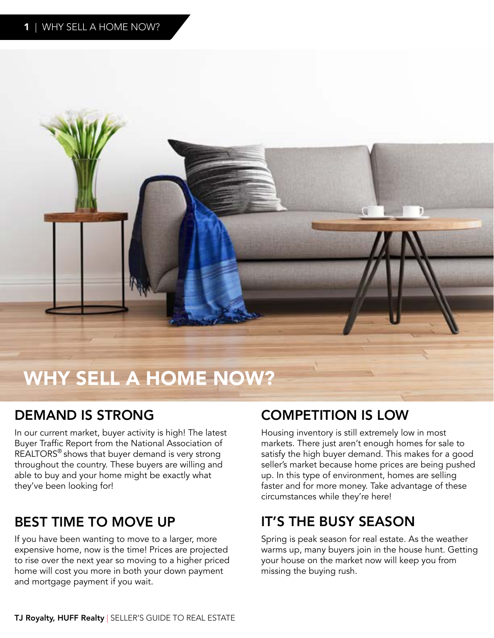

# WHY SELL A HOME NOW?

# DEMAND IS STRONG

In our current market, buyer activity is high! The latest Buyer Traffic Report from the National Association of REALTORS® shows that buyer demand is very strong throughout the country. These buyers are willing and able to buy and your home might be exactly what they've been looking for!

# BEST TIME TO MOVE UP

If you have been wanting to move to a larger, more expensive home, now is the time! Prices are projected to rise over the next year so moving to a higher priced home will cost you more in both your down payment and mortgage payment if you wait.

# COMPETITION IS LOW

Housing inventory is still extremely low in most markets. There just aren't enough homes for sale to satisfy the high buyer demand. This makes for a good seller's market because home prices are being pushed up. In this type of environment, homes are selling faster and for more money. Take advantage of these circumstances while they're here!

# IT'S THE BUSY SEASON

Spring is peak season for real estate. As the weather warms up, many buyers join in the house hunt. Getting your house on the market now will keep you from missing the buying rush.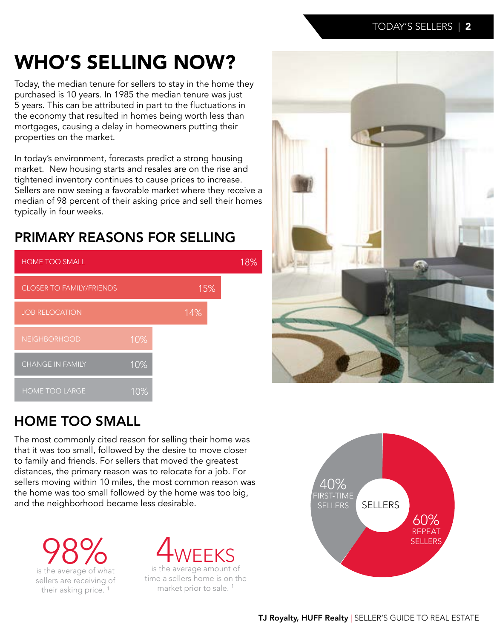# WHO'S SELLING NOW?

Today, the median tenure for sellers to stay in the home they purchased is 10 years. In 1985 the median tenure was just 5 years. This can be attributed in part to the fluctuations in the economy that resulted in homes being worth less than mortgages, causing a delay in homeowners putting their properties on the market.

In today's environment, forecasts predict a strong housing market. New housing starts and resales are on the rise and tightened inventory continues to cause prices to increase. Sellers are now seeing a favorable market where they receive a median of 98 percent of their asking price and sell their homes typically in four weeks.

# PRIMARY REASONS FOR SELLING





# HOME TOO SMALL

The most commonly cited reason for selling their home was that it was too small, followed by the desire to move closer to family and friends. For sellers that moved the greatest distances, the primary reason was to relocate for a job. For sellers moving within 10 miles, the most common reason was the home was too small followed by the home was too big, and the neighborhood became less desirable.

**98%** sellers are receiving of their asking price.<sup>1</sup>



is the average amount of time a sellers home is on the market prior to sale. <sup>1</sup>

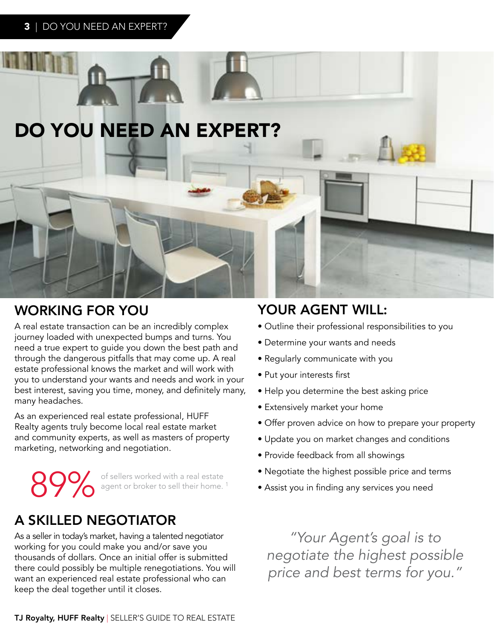

# WORKING FOR YOU YOUR AGENT WILL:

A real estate transaction can be an incredibly complex journey loaded with unexpected bumps and turns. You need a true expert to guide you down the best path and through the dangerous pitfalls that may come up. A real estate professional knows the market and will work with you to understand your wants and needs and work in your best interest, saving you time, money, and definitely many, many headaches.

As an experienced real estate professional, HUFF Realty agents truly become local real estate market and community experts, as well as masters of property marketing, networking and negotiation.

89% of sellers worked with a real estate agent or broker to sell their home.<sup>1</sup>

# A SKILLED NEGOTIATOR

As a seller in today's market, having a talented negotiator working for you could make you and/or save you thousands of dollars. Once an initial offer is submitted there could possibly be multiple renegotiations. You will want an experienced real estate professional who can keep the deal together until it closes.

- Outline their professional responsibilities to you
- Determine your wants and needs
- Regularly communicate with you
- Put your interests first
- Help you determine the best asking price
- Extensively market your home
- Offer proven advice on how to prepare your property
- Update you on market changes and conditions
- Provide feedback from all showings
- Negotiate the highest possible price and terms
- Assist you in finding any services you need

*"Your Agent's goal is to negotiate the highest possible price and best terms for you."*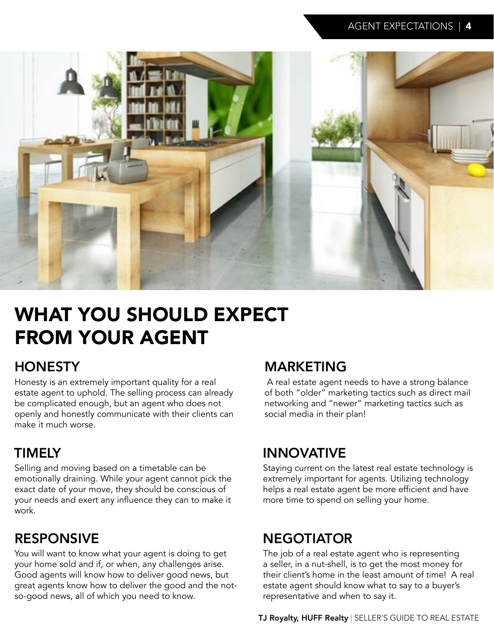

# WHAT YOU SHOULD EXPECT FROM YOUR AGENT

# **HONESTY**

Honesty is an extremely important quality for a real estate agent to uphold. The selling process can already be complicated enough, but an agent who does not openly and honestly communicate with their clients can make it much worse.

# TIMELY

Selling and moving based on a timetable can be emotionally draining. While your agent cannot pick the exact date of your move, they should be conscious of your needs and exert any influence they can to make it work.

# RESPONSIVE

You will want to know what your agent is doing to get your home sold and if, or when, any challenges arise. Good agents will know how to deliver good news, but great agents know how to deliver the good and the notso-good news, all of which you need to know.

# MARKETING

 A real estate agent needs to have a strong balance of both "older" marketing tactics such as direct mail networking and "newer" marketing tactics such as social media in their plan!

# INNOVATIVE

Staying current on the latest real estate technology is extremely important for agents. Utilizing technology helps a real estate agent be more efficient and have more time to spend on selling your home.

# **NEGOTIATOR**

The job of a real estate agent who is representing a seller, in a nut-shell, is to get the most money for their client's home in the least amount of time! A real estate agent should know what to say to a buyer's representative and when to say it.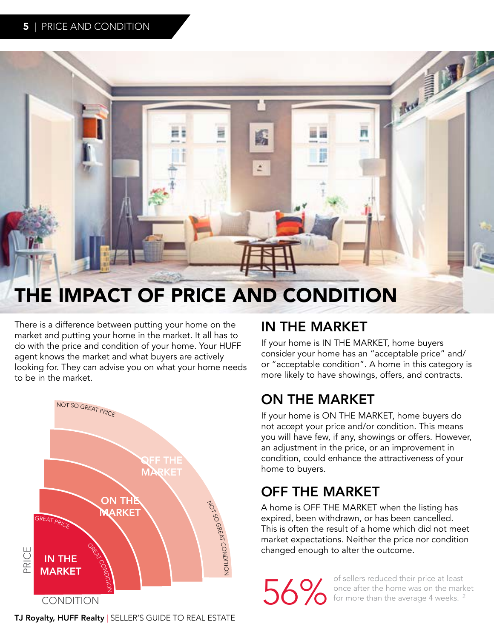

# THE IMPACT OF PRICE AND CONDITION

There is a difference between putting your home on the market and putting your home in the market. It all has to do with the price and condition of your home. Your HUFF agent knows the market and what buyers are actively looking for. They can advise you on what your home needs to be in the market.



# IN THE MARKET

If your home is IN THE MARKET, home buyers consider your home has an "acceptable price" and/ or "acceptable condition". A home in this category is more likely to have showings, offers, and contracts.

# ON THE MARKET

If your home is ON THE MARKET, home buyers do not accept your price and/or condition. This means you will have few, if any, showings or offers. However, an adjustment in the price, or an improvement in condition, could enhance the attractiveness of your home to buyers.

# OFF THE MARKET

A home is OFF THE MARKET when the listing has expired, been withdrawn, or has been cancelled. This is often the result of a home which did not meet market expectations. Neither the price nor condition changed enough to alter the outcome.

of sellers reduced their price at least<br>once after the home was on the mark<br>of for more than the average 4 weeks.<sup>2</sup> once after the home was on the market for more than the average 4 weeks.<sup>2</sup>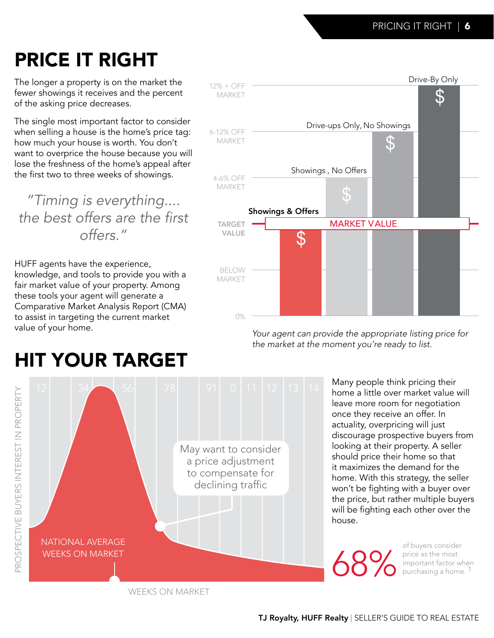# PRICE IT RIGHT

The longer a property is on the market the fewer showings it receives and the percent of the asking price decreases.

The single most important factor to consider when selling a house is the home's price tag: how much your house is worth. You don't want to overprice the house because you will lose the freshness of the home's appeal after the first two to three weeks of showings.

*"Timing is everything....* the best offers are the first *offers."*

HUFF agents have the experience, knowledge, and tools to provide you with a fair market value of your property. Among these tools your agent will generate a Comparative Market Analysis Report (CMA) to assist in targeting the current market value of your home.



*Your agent can provide the appropriate listing price for the market at the moment you're ready to list.*

> Many people think pricing their home a little over market value will leave more room for negotiation once they receive an offer. In actuality, overpricing will just discourage prospective buyers from looking at their property. A seller should price their home so that it maximizes the demand for the home. With this strategy, the seller won't be fighting with a buyer over the price, but rather multiple buyers will be fighting each other over the house.

68%

of buyers consider price as the most important factor when purchasing a home. 1

# HIT YOUR TARGET



WEEKS ON MARKET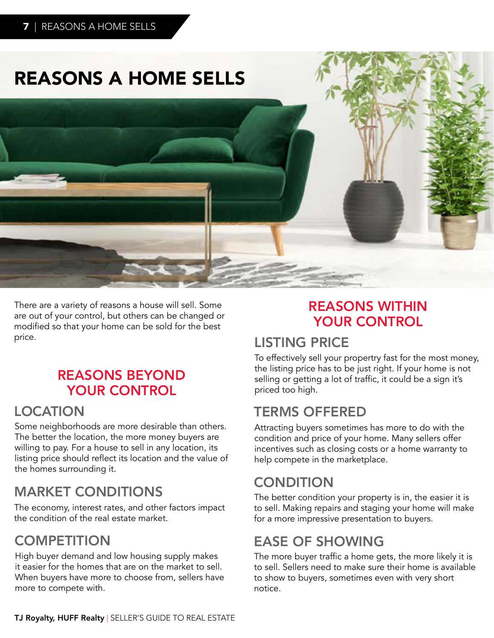# REASONS A HOME SELLS



There are a variety of reasons a house will sell. Some are out of your control, but others can be changed or modified so that your home can be sold for the best price.

## REASONS BEYOND YOUR CONTROL

## LOCATION

Some neighborhoods are more desirable than others. The better the location, the more money buyers are willing to pay. For a house to sell in any location, its listing price should reflect its location and the value of the homes surrounding it.

# MARKET CONDITIONS

The economy, interest rates, and other factors impact the condition of the real estate market.

# **COMPETITION**

High buyer demand and low housing supply makes it easier for the homes that are on the market to sell. When buyers have more to choose from, sellers have more to compete with.

## REASONS WITHIN YOUR CONTROL

## LISTING PRICE

To effectively sell your propertry fast for the most money, the listing price has to be just right. If your home is not selling or getting a lot of traffic, it could be a sign it's priced too high.

# TERMS OFFERED

Attracting buyers sometimes has more to do with the condition and price of your home. Many sellers offer incentives such as closing costs or a home warranty to help compete in the marketplace.

# **CONDITION**

The better condition your property is in, the easier it is to sell. Making repairs and staging your home will make for a more impressive presentation to buyers.

# EASE OF SHOWING

The more buyer traffic a home gets, the more likely it is to sell. Sellers need to make sure their home is available to show to buyers, sometimes even with very short notice.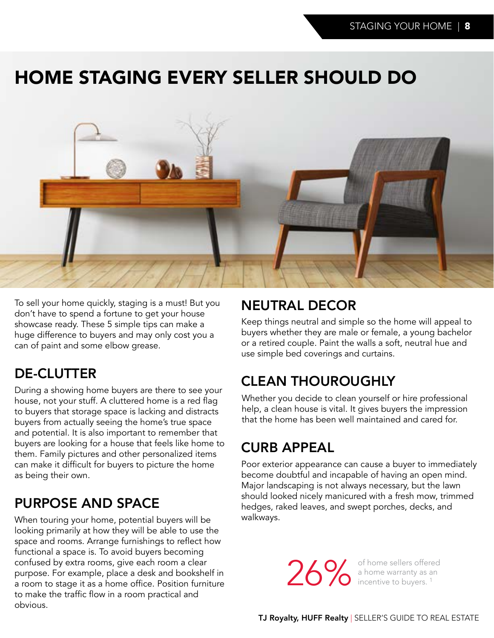# HOME STAGING EVERY SELLER SHOULD DO



To sell your home quickly, staging is a must! But you don't have to spend a fortune to get your house showcase ready. These 5 simple tips can make a huge difference to buyers and may only cost you a can of paint and some elbow grease.

# DE-CLUTTER

During a showing home buyers are there to see your house, not your stuff. A cluttered home is a red flag to buyers that storage space is lacking and distracts buyers from actually seeing the home's true space and potential. It is also important to remember that buyers are looking for a house that feels like home to them. Family pictures and other personalized items can make it difficult for buyers to picture the home as being their own.

# PURPOSE AND SPACE

When touring your home, potential buyers will be looking primarily at how they will be able to use the space and rooms. Arrange furnishings to reflect how functional a space is. To avoid buyers becoming confused by extra rooms, give each room a clear purpose. For example, place a desk and bookshelf in a room to stage it as a home office. Position furniture to make the traffic flow in a room practical and obvious.

## NEUTRAL DECOR

Keep things neutral and simple so the home will appeal to buyers whether they are male or female, a young bachelor or a retired couple. Paint the walls a soft, neutral hue and use simple bed coverings and curtains.

# CLEAN THOUROUGHLY

Whether you decide to clean yourself or hire professional help, a clean house is vital. It gives buyers the impression that the home has been well maintained and cared for.

# CURB APPEAL

Poor exterior appearance can cause a buyer to immediately become doubtful and incapable of having an open mind. Major landscaping is not always necessary, but the lawn should looked nicely manicured with a fresh mow, trimmed hedges, raked leaves, and swept porches, decks, and walkways.

26% of home sellers offered<br>a home warranty as an<br>incentive to buyers.<sup>1</sup> a home warranty as an incentive to buyers.<sup>1</sup>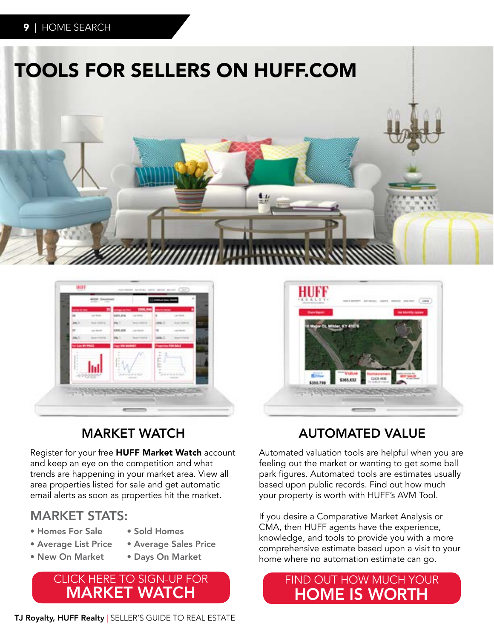



# MARKET WATCH

Register for your free HUFF Market Watch account and keep an eye on the competition and what trends are happening in your market area. View all area properties listed for sale and get automatic email alerts as soon as properties hit the market.

### MARKET STATS:

- Homes For Sale
- Average List Price
- Average Sales Price

• Sold Homes

- New On Market
- Days On Market

### CLICK HERE TO SIGN-UP FOR MARKET WATCH





# AUTOMATED VALUE

Automated valuation tools are helpful when you are feeling out the market or wanting to get some ball park figures. Automated tools are estimates usually based upon public records. Find out how much your property is worth with HUFF's AVM Tool.

If you desire a Comparative Market Analysis or CMA, then HUFF agents have the experience, knowledge, and tools to provide you with a more comprehensive estimate based upon a visit to your home where no automation estimate can go.

### FIND OUT HOW MUCH YOUR HOME IS WORTH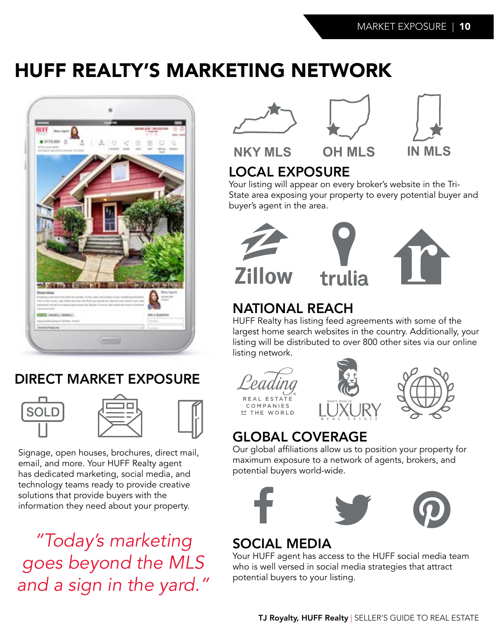# HUFF REALTY'S MARKETING NETWORK



# DIRECT MARKET EXPOSURE





Signage, open houses, brochures, direct mail, email, and more. Your HUFF Realty agent has dedicated marketing, social media, and technology teams ready to provide creative solutions that provide buyers with the information they need about your property.

*"Today's marketing goes beyond the MLS and a sign in the yard."*







**NKY MLS OH MLS IN MLS**

# LOCAL EXPOSURE

Your listing will appear on every broker's website in the Tri-State area exposing your property to every potential buyer and buyer's agent in the area.





# NATIONAL REACH

HUFF Realty has listing feed agreements with some of the largest home search websites in the country. Additionally, your listing will be distributed to over 800 other sites via our online listing network.





# GLOBAL COVERAGE

Our global affiliations allow us to position your property for maximum exposure to a network of agents, brokers, and potential buyers world-wide.



# SOCIAL MEDIA

Your HUFF agent has access to the HUFF social media team who is well versed in social media strategies that attract potential buyers to your listing.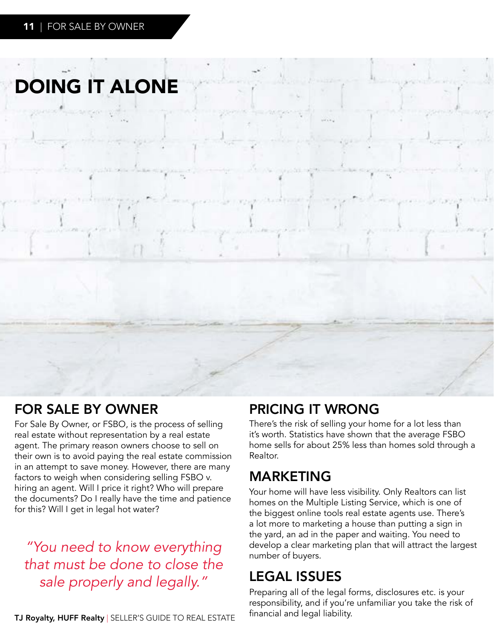# DOING IT ALONE

# FOR SALE BY OWNER

For Sale By Owner, or FSBO, is the process of selling real estate without representation by a real estate agent. The primary reason owners choose to sell on their own is to avoid paying the real estate commission in an attempt to save money. However, there are many factors to weigh when considering selling FSBO v. hiring an agent. Will I price it right? Who will prepare the documents? Do I really have the time and patience for this? Will I get in legal hot water?

*"You need to know everything that must be done to close the sale properly and legally."*

#### TJ Royalty, HUFF Realty | SELLER'S GUIDE TO REAL ESTATE

## PRICING IT WRONG

There's the risk of selling your home for a lot less than it's worth. Statistics have shown that the average FSBO home sells for about 25% less than homes sold through a Realtor.

## MARKETING

Your home will have less visibility. Only Realtors can list homes on the Multiple Listing Service, which is one of the biggest online tools real estate agents use. There's a lot more to marketing a house than putting a sign in the yard, an ad in the paper and waiting. You need to develop a clear marketing plan that will attract the largest number of buyers.

# LEGAL ISSUES

Preparing all of the legal forms, disclosures etc. is your responsibility, and if you're unfamiliar you take the risk of financial and legal liability.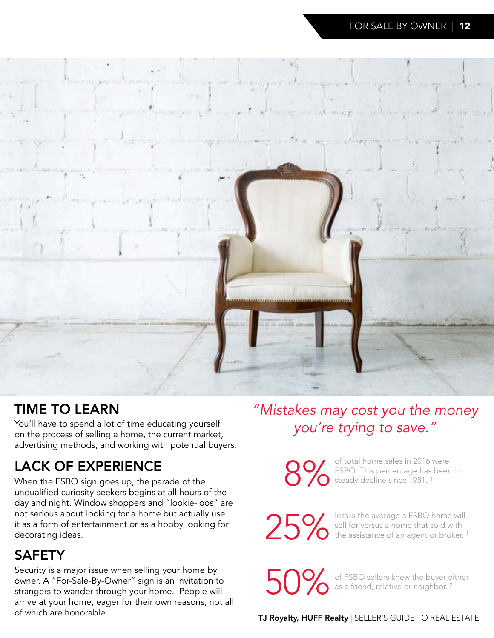

# TIME TO LEARN

*you're trying to save."* You'll have to spend a lot of time educating yourself on the process of selling a home, the current market, advertising methods, and working with potential buyers.

# LACK OF EXPERIENCE

When the FSBO sign goes up, the parade of the unqualified curiosity-seekers begins at all hours of the day and night. Window shoppers and "lookie-loos" are not serious about looking for a home but actually use it as a form of entertainment or as a hobby looking for decorating ideas.

# SAFETY

Security is a major issue when selling your home by owner. A "For-Sale-By-Owner" sign is an invitation to strangers to wander through your home. People will arrive at your home, eager for their own reasons, not all of which are honorable.

# *"Mistakes may cost you the money*

of total home sales in 2016 were<br>FSBO. This percentage has been<br>steady decline since 1981.<sup>1</sup> FSBO. This percentage has been in steady decline since 1981.<sup>1</sup>

25% less is the average a FSBO home will<br>bell for versus a home that sold with<br>the assistance of an agent or broker.<sup>1</sup> sell for versus a home that sold with the assistance of an agent or broker.<sup>1</sup>

50% of FSBO sellers knew the buyer either<br>as a friend, relative or neighbor.<sup>2</sup> as a friend, relative or neighbor.<sup>2</sup>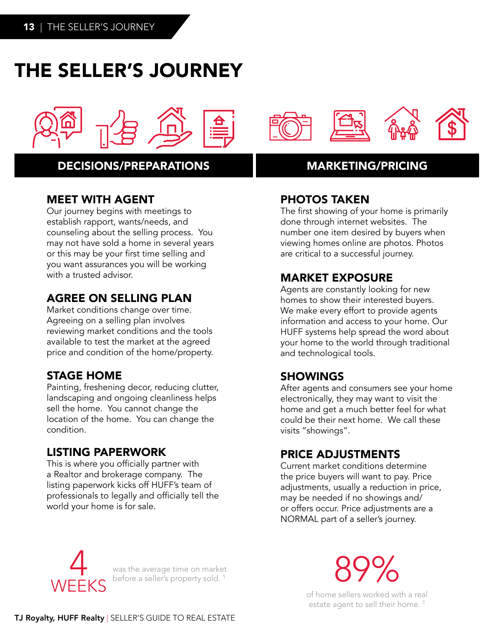# THE SELLER'S JOURNEY



### DECISIONS/PREPARATIONS MARKETING/PRICING

### MEET WITH AGENT

Our journey begins with meetings to establish rapport, wants/needs, and counseling about the selling process. You may not have sold a home in several years or this may be your first time selling and you want assurances you will be working with a trusted advisor.

### AGREE ON SELLING PLAN

Market conditions change over time. Agreeing on a selling plan involves reviewing market conditions and the tools available to test the market at the agreed price and condition of the home/property.

### STAGE HOME

Painting, freshening decor, reducing clutter, landscaping and ongoing cleanliness helps sell the home. You cannot change the location of the home. You can change the condition.

### LISTING PAPERWORK

This is where you officially partner with a Realtor and brokerage company. The listing paperwork kicks off HUFF's team of professionals to legally and officially tell the world your home is for sale.



### PHOTOS TAKEN

The first showing of your home is primarily done through internet websites. The number one item desired by buyers when viewing homes online are photos. Photos are critical to a successful journey.

### MARKET EXPOSURE

Agents are constantly looking for new homes to show their interested buyers. We make every effort to provide agents information and access to your home. Our HUFF systems help spread the word about your home to the world through traditional and technological tools.

### SHOWINGS

After agents and consumers see your home electronically, they may want to visit the home and get a much better feel for what could be their next home. We call these visits "showings".

### PRICE ADJUSTMENTS

Current market conditions determine the price buyers will want to pay. Price adjustments, usually a reduction in price, may be needed if no showings and/ or offers occur. Price adjustments are a NORMAL part of a seller's journey.



was the average time on market

was the average time on market<br>before a seller's property sold. <sup>1</sup> 89 and the seller's property sold. <sup>1</sup>

of home sellers worked with a real estate agent to sell their home.<sup>1</sup>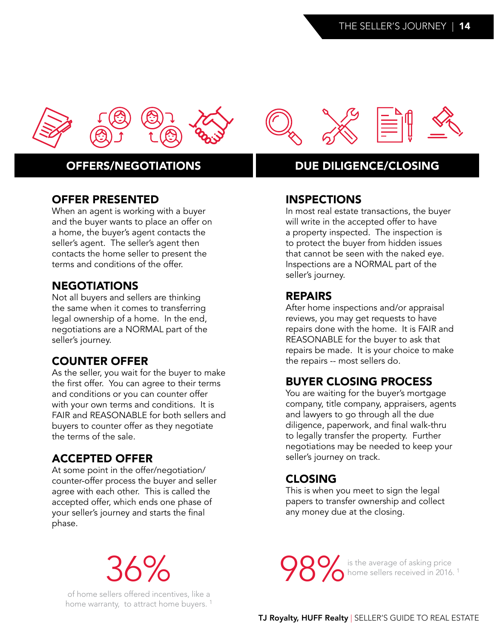

### OFFER PRESENTED

When an agent is working with a buyer and the buyer wants to place an offer on a home, the buyer's agent contacts the seller's agent. The seller's agent then contacts the home seller to present the terms and conditions of the offer.

### **NEGOTIATIONS**

Not all buyers and sellers are thinking the same when it comes to transferring legal ownership of a home. In the end, negotiations are a NORMAL part of the seller's journey.

### COUNTER OFFER

As the seller, you wait for the buyer to make the first offer. You can agree to their terms and conditions or you can counter offer with your own terms and conditions. It is FAIR and REASONABLE for both sellers and buyers to counter offer as they negotiate the terms of the sale.

### ACCEPTED OFFER

At some point in the offer/negotiation/ counter-offer process the buyer and seller agree with each other. This is called the accepted offer, which ends one phase of your seller's journey and starts the final phase.

# 36%

of home sellers offered incentives, like a home warranty, to attract home buyers.<sup>1</sup>



### INSPECTIONS

In most real estate transactions, the buyer will write in the accepted offer to have a property inspected. The inspection is to protect the buyer from hidden issues that cannot be seen with the naked eye. Inspections are a NORMAL part of the seller's journey.

#### REPAIRS

After home inspections and/or appraisal reviews, you may get requests to have repairs done with the home. It is FAIR and REASONABLE for the buyer to ask that repairs be made. It is your choice to make the repairs -- most sellers do.

### BUYER CLOSING PROCESS

You are waiting for the buyer's mortgage company, title company, appraisers, agents and lawyers to go through all the due diligence, paperwork, and final walk-thru to legally transfer the property. Further negotiations may be needed to keep your seller's journey on track.

### CLOSING

This is when you meet to sign the legal papers to transfer ownership and collect any money due at the closing.

**98%** is the average of asking price<br>home sellers received in 2016. home sellers received in 2016.<sup>1</sup>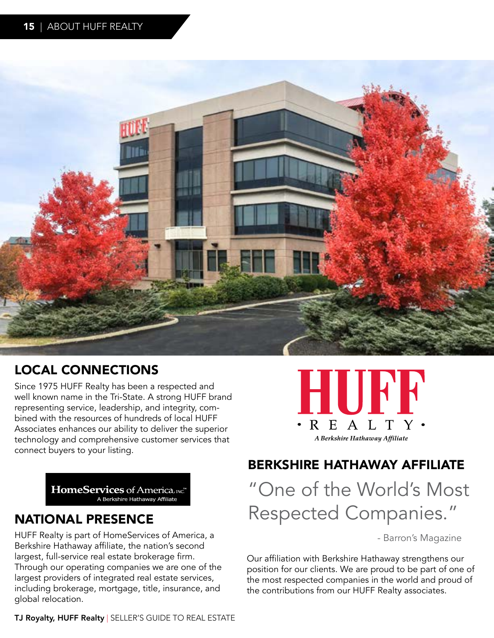

# LOCAL CONNECTIONS

Since 1975 HUFF Realty has been a respected and well known name in the Tri-State. A strong HUFF brand representing service, leadership, and integrity, combined with the resources of hundreds of local HUFF Associates enhances our ability to deliver the superior technology and comprehensive customer services that connect buyers to your listing.

HomeServices of America, INC."

### NATIONAL PRESENCE

HUFF Realty is part of HomeServices of America, a Berkshire Hathaway affiliate, the nation's second largest, full-service real estate brokerage firm. Through our operating companies we are one of the largest providers of integrated real estate services, including brokerage, mortgage, title, insurance, and global relocation.



### BERKSHIRE HATHAWAY AFFILIATE

"One of the World's Most Respected Companies."

- Barron's Magazine

Our affiliation with Berkshire Hathaway strengthens our position for our clients. We are proud to be part of one of the most respected companies in the world and proud of the contributions from our HUFF Realty associates.